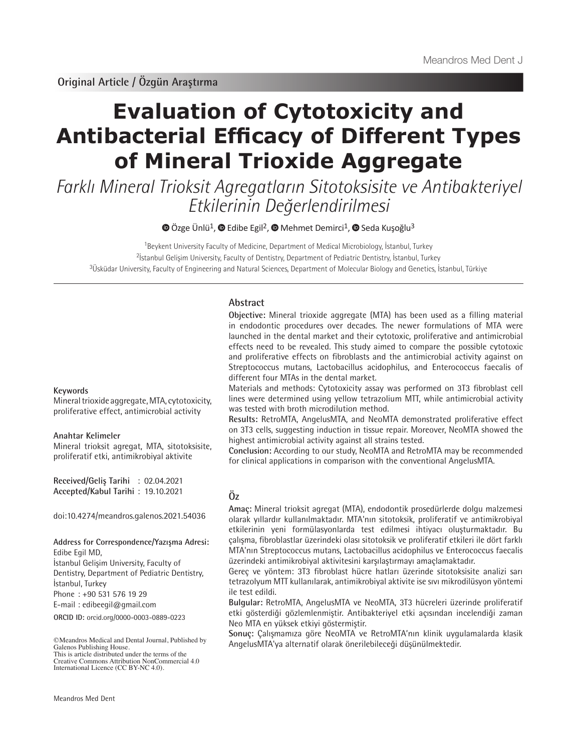# **Evaluation of Cytotoxicity and Antibacterial Efficacy of Different Types of Mineral Trioxide Aggregate**

Farklı Mineral Trioksit Agregatların Sitotoksisite ve Antibakteriyel Etkilerinin Değerlendirilmesi

 $\bullet$  Özge Ünlü<sup>1</sup>,  $\bullet$  Edibe Egil<sup>2</sup>,  $\bullet$  Mehmet Demirci<sup>1</sup>,  $\bullet$  Seda Kuşoğlu<sup>3</sup>

<sup>1</sup>Beykent University Faculty of Medicine, Department of Medical Microbiology, İstanbul, Turkey <sup>2</sup>İstanbul Gelişim University, Faculty of Dentistry, Department of Pediatric Dentistry, İstanbul, Turkey  $3$ Üsküdar University, Faculty of Engineering and Natural Sciences, Department of Molecular Biology and Genetics, İstanbul, Türkiye

# **Abstract**

**Objective:** Mineral trioxide aggregate (MTA) has been used as a filling material in endodontic procedures over decades. The newer formulations of MTA were launched in the dental market and their cytotoxic, proliferative and antimicrobial effects need to be revealed. This study aimed to compare the possible cytotoxic and proliferative effects on fibroblasts and the antimicrobial activity against on Streptococcus mutans, Lactobacillus acidophilus, and Enterococcus faecalis of different four MTAs in the dental market.

Materials and methods: Cytotoxicity assay was performed on 3T3 fibroblast cell lines were determined using yellow tetrazolium MTT, while antimicrobial activity was tested with broth microdilution method.

**Results:** RetroMTA, AngelusMTA, and NeoMTA demonstrated proliferative effect on 3T3 cells, suggesting induction in tissue repair. Moreover, NeoMTA showed the highest antimicrobial activity against all strains tested.

**Conclusion:** According to our study, NeoMTA and RetroMTA may be recommended for clinical applications in comparison with the conventional AngelusMTA.

# **Öz**

**Amaç:** Mineral trioksit agregat (MTA), endodontik prosedürlerde dolgu malzemesi olarak yıllardır kullanılmaktadır. MTA'nın sitotoksik, proliferatif ve antimikrobiyal etkilerinin yeni formülasyonlarda test edilmesi ihtiyacı oluşturmaktadır. Bu çalışma, fibroblastlar üzerindeki olası sitotoksik ve proliferatif etkileri ile dört farklı MTA'nın Streptococcus mutans, Lactobacillus acidophilus ve Enterococcus faecalis üzerindeki antimikrobiyal aktivitesini karşılaştırmayı amaçlamaktadır.

Gereç ve yöntem: 3T3 fibroblast hücre hatları üzerinde sitotoksisite analizi sarı tetrazolyum MTT kullanılarak, antimikrobiyal aktivite ise sıvı mikrodilüsyon yöntemi ile test edildi.

**Bulgular:** RetroMTA, AngelusMTA ve NeoMTA, 3T3 hücreleri üzerinde proliferatif etki gösterdiği gözlemlenmiştir. Antibakteriyel etki açısından incelendiği zaman Neo MTA en yüksek etkiyi göstermiştir.

**Sonuç:** Çalışmamıza göre NeoMTA ve RetroMTA'nın klinik uygulamalarda klasik AngelusMTA'ya alternatif olarak önerilebileceği düşünülmektedir.

#### **Keywords**

Mineral trioxide aggregate, MTA, cytotoxicity, proliferative effect, antimicrobial activity

#### **Anahtar Kelimeler**

Mineral trioksit agregat, MTA, sitotoksisite, proliferatif etki, antimikrobiyal aktivite

**Received/Geliş Tarihi** : 02.04.2021 **Accepted/Kabul Tarihi** : 19.10.2021

doi:10.4274/meandros.galenos.2021.54036

# **Address for Correspondence/Yazışma Adresi:**

Edibe Egil MD,

İstanbul Gelişim University, Faculty of Dentistry, Department of Pediatric Dentistry, İstanbul, Turkey

Phone : +90 531 576 19 29

E-mail : edibeegil@gmail.com

**ORCID ID:** orcid.org/0000-0003-0889-0223

©Meandros Medical and Dental Journal, Published by Galenos Publishing House. This is article distributed under the terms of the

Creative Commons Attribution NonCommercial 4.0 International Licence (CC BY-NC 4.0).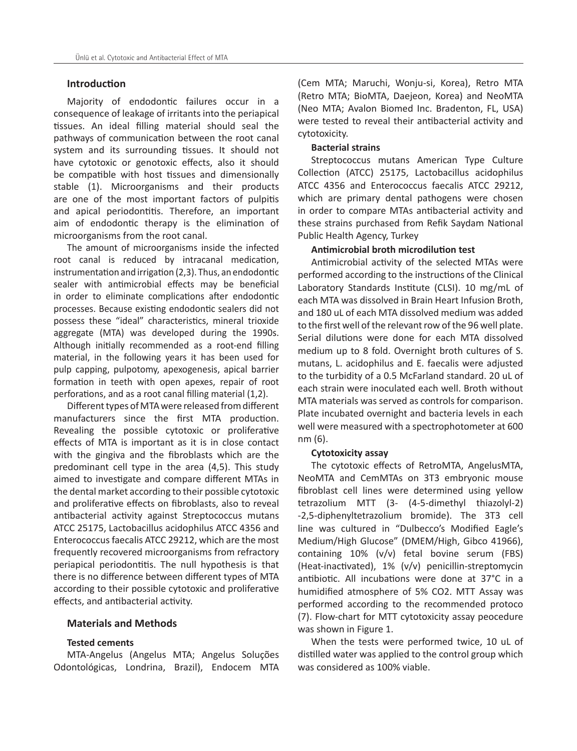# **Introduction**

Majority of endodontic failures occur in a consequence of leakage of irritants into the periapical tissues. An ideal filling material should seal the pathways of communication between the root canal system and its surrounding tissues. It should not have cytotoxic or genotoxic effects, also it should be compatible with host tissues and dimensionally stable (1). Microorganisms and their products are one of the most important factors of pulpitis and apical periodontitis. Therefore, an important aim of endodontic therapy is the elimination of microorganisms from the root canal.

The amount of microorganisms inside the infected root canal is reduced by intracanal medication, instrumentation and irrigation (2,3). Thus, an endodontic sealer with antimicrobial effects may be beneficial in order to eliminate complications after endodontic processes. Because existing endodontic sealers did not possess these "ideal" characteristics, mineral trioxide aggregate (MTA) was developed during the 1990s. Although initially recommended as a root-end filling material, in the following years it has been used for pulp capping, pulpotomy, apexogenesis, apical barrier formation in teeth with open apexes, repair of root perforations, and as a root canal filling material (1,2).

Different types of MTA were released from different manufacturers since the first MTA production. Revealing the possible cytotoxic or proliferative effects of MTA is important as it is in close contact with the gingiva and the fibroblasts which are the predominant cell type in the area (4,5). This study aimed to investigate and compare different MTAs in the dental market according to their possible cytotoxic and proliferative effects on fibroblasts, also to reveal antibacterial activity against Streptococcus mutans ATCC 25175, Lactobacillus acidophilus ATCC 4356 and Enterococcus faecalis ATCC 29212, which are the most frequently recovered microorganisms from refractory periapical periodontitis. The null hypothesis is that there is no difference between different types of MTA according to their possible cytotoxic and proliferative effects, and antibacterial activity.

# **Materials and Methods**

#### **Tested cements**

MTA-Angelus (Angelus MTA; Angelus Soluções Odontológicas, Londrina, Brazil), Endocem MTA

(Cem MTA; Maruchi, Wonju-si, Korea), Retro MTA (Retro MTA; BioMTA, Daejeon, Korea) and NeoMTA (Neo MTA; Avalon Biomed Inc. Bradenton, FL, USA) were tested to reveal their antibacterial activity and cytotoxicity.

# **Bacterial strains**

Streptococcus mutans American Type Culture Collection (ATCC) 25175, Lactobacillus acidophilus ATCC 4356 and Enterococcus faecalis ATCC 29212, which are primary dental pathogens were chosen in order to compare MTAs antibacterial activity and these strains purchased from Refik Saydam National Public Health Agency, Turkey

#### **Antimicrobial broth microdilution test**

Antimicrobial activity of the selected MTAs were performed according to the instructions of the Clinical Laboratory Standards Institute (CLSI). 10 mg/mL of each MTA was dissolved in Brain Heart Infusion Broth, and 180 uL of each MTA dissolved medium was added to the first well of the relevant row of the 96 well plate. Serial dilutions were done for each MTA dissolved medium up to 8 fold. Overnight broth cultures of S. mutans, L. acidophilus and E. faecalis were adjusted to the turbidity of a 0.5 McFarland standard. 20 uL of each strain were inoculated each well. Broth without MTA materials was served as controls for comparison. Plate incubated overnight and bacteria levels in each well were measured with a spectrophotometer at 600 nm (6).

#### **Cytotoxicity assay**

The cytotoxic effects of RetroMTA, AngelusMTA, NeoMTA and CemMTAs on 3T3 embryonic mouse fibroblast cell lines were determined using yellow tetrazolium MTT (3- (4-5-dimethyl thiazolyl-2) -2,5-diphenyltetrazolium bromide). The 3T3 cell line was cultured in "Dulbecco's Modified Eagle's Medium/High Glucose" (DMEM/High, Gibco 41966), containing 10% (v/v) fetal bovine serum (FBS) (Heat-inactivated), 1% (v/v) penicillin-streptomycin antibiotic. All incubations were done at 37°C in a humidified atmosphere of 5% CO2. MTT Assay was performed according to the recommended protoco (7). Flow-chart for MTT cytotoxicity assay peocedure was shown in Figure 1.

When the tests were performed twice, 10 uL of distilled water was applied to the control group which was considered as 100% viable.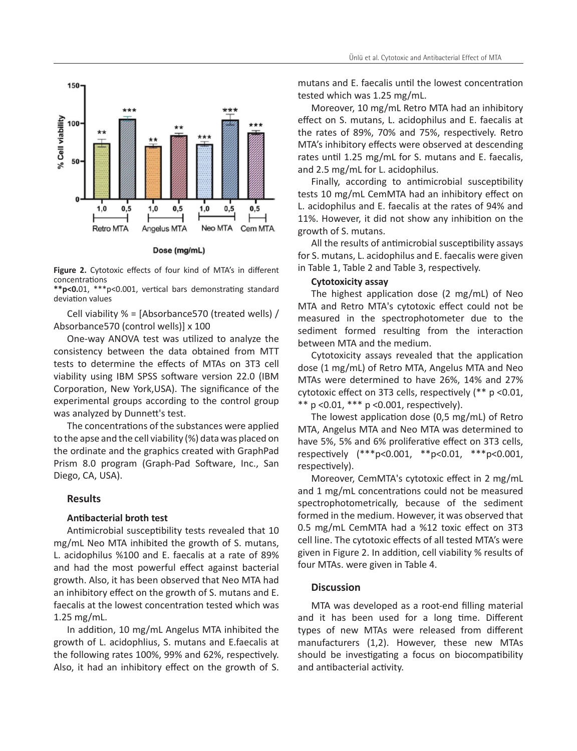

Dose (mg/mL)

**Figure 2.** Cytotoxic effects of four kind of MTA's in different concentrations

**\*\*p<0.**01, \*\*\*p<0.001, vertical bars demonstrating standard deviation values

Cell viability % = [Absorbance570 (treated wells) / Absorbance570 (control wells)] x 100

One-way ANOVA test was utilized to analyze the consistency between the data obtained from MTT tests to determine the effects of MTAs on 3T3 cell viability using IBM SPSS software version 22.0 (IBM Corporation, New York,USA). The significance of the experimental groups according to the control group was analyzed by Dunnett's test.

The concentrations of the substances were applied to the apse and the cell viability (%) data was placed on the ordinate and the graphics created with GraphPad Prism 8.0 program (Graph-Pad Software, Inc., San Diego, CA, USA).

# **Results**

#### **Antibacterial broth test**

Antimicrobial susceptibility tests revealed that 10 mg/mL Neo MTA inhibited the growth of S. mutans, L. acidophilus %100 and E. faecalis at a rate of 89% and had the most powerful effect against bacterial growth. Also, it has been observed that Neo MTA had an inhibitory effect on the growth of S. mutans and E. faecalis at the lowest concentration tested which was 1.25 mg/mL.

In addition, 10 mg/mL Angelus MTA inhibited the growth of L. acidophlius, S. mutans and E.faecalis at the following rates 100%, 99% and 62%, respectively. Also, it had an inhibitory effect on the growth of S.

mutans and E. faecalis until the lowest concentration tested which was 1.25 mg/mL.

Moreover, 10 mg/mL Retro MTA had an inhibitory effect on S. mutans, L. acidophilus and E. faecalis at the rates of 89%, 70% and 75%, respectively. Retro MTA's inhibitory effects were observed at descending rates until 1.25 mg/mL for S. mutans and E. faecalis, and 2.5 mg/mL for L. acidophilus.

Finally, according to antimicrobial susceptibility tests 10 mg/mL CemMTA had an inhibitory effect on L. acidophilus and E. faecalis at the rates of 94% and 11%. However, it did not show any inhibition on the growth of S. mutans.

All the results of antimicrobial susceptibility assays for S. mutans, L. acidophilus and E. faecalis were given in Table 1, Table 2 and Table 3, respectively.

### **Cytotoxicity assay**

The highest application dose (2 mg/mL) of Neo MTA and Retro MTA's cytotoxic effect could not be measured in the spectrophotometer due to the sediment formed resulting from the interaction between MTA and the medium.

Cytotoxicity assays revealed that the application dose (1 mg/mL) of Retro MTA, Angelus MTA and Neo MTAs were determined to have 26%, 14% and 27% cytotoxic effect on 3T3 cells, respectively (\*\* p <0.01, \*\* p <0.01, \*\*\* p <0.001, respectively).

The lowest application dose (0,5 mg/mL) of Retro MTA, Angelus MTA and Neo MTA was determined to have 5%, 5% and 6% proliferative effect on 3T3 cells, respectively (\*\*\*p<0.001, \*\*p<0.01, \*\*\*p<0.001, respectively).

Moreover, CemMTA's cytotoxic effect in 2 mg/mL and 1 mg/mL concentrations could not be measured spectrophotometrically, because of the sediment formed in the medium. However, it was observed that 0.5 mg/mL CemMTA had a %12 toxic effect on 3T3 cell line. The cytotoxic effects of all tested MTA's were given in Figure 2. In addition, cell viability % results of four MTAs. were given in Table 4.

# **Discussion**

MTA was developed as a root-end filling material and it has been used for a long time. Different types of new MTAs were released from different manufacturers (1,2). However, these new MTAs should be investigating a focus on biocompatibility and antibacterial activity.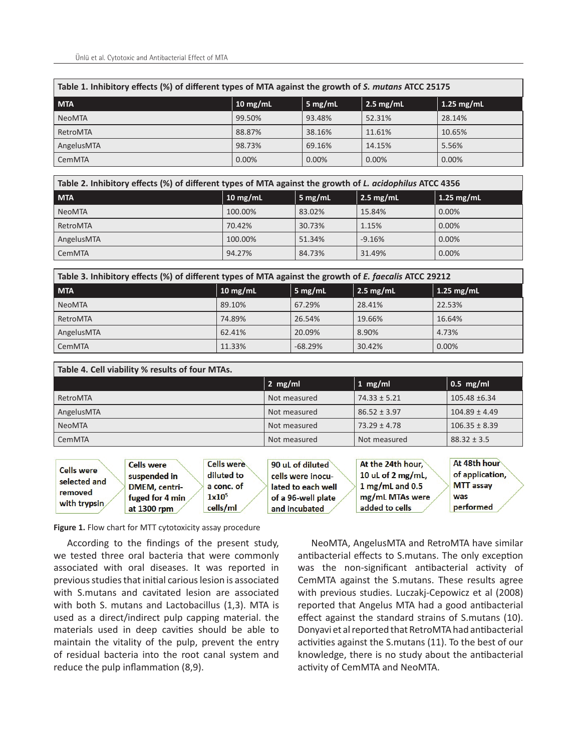| Table 1. Inhibitory effects (%) of different types of MTA against the growth of S. mutans ATCC 25175 |            |                   |                   |              |
|------------------------------------------------------------------------------------------------------|------------|-------------------|-------------------|--------------|
| <b>MTA</b>                                                                                           | $10$ mg/mL | $5 \text{ mg/mL}$ | $\vert$ 2.5 mg/mL | $1.25$ mg/mL |
| <b>NeoMTA</b>                                                                                        | 99.50%     | 93.48%            | 52.31%            | 28.14%       |
| RetroMTA                                                                                             | 88.87%     | 38.16%            | 11.61%            | 10.65%       |
| AngelusMTA                                                                                           | 98.73%     | 69.16%            | 14.15%            | 5.56%        |
| <b>CemMTA</b>                                                                                        | 0.00%      | $0.00\%$          | 0.00%             | 0.00%        |

| Table 2. Inhibitory effects (%) of different types of MTA against the growth of L. acidophilus ATCC 4356 |            |                   |                     |              |  |
|----------------------------------------------------------------------------------------------------------|------------|-------------------|---------------------|--------------|--|
| <b>MTA</b>                                                                                               | $10$ mg/mL | $5 \text{ mg/mL}$ | $2.5 \text{ mg/mL}$ | $1.25$ mg/mL |  |
| <b>NeoMTA</b>                                                                                            | 100.00%    | 83.02%            | 15.84%              | $0.00\%$     |  |
| RetroMTA                                                                                                 | 70.42%     | 30.73%            | 1.15%               | $0.00\%$     |  |
| AngelusMTA                                                                                               | 100.00%    | 51.34%            | $-9.16%$            | 0.00%        |  |
| CemMTA                                                                                                   | 94.27%     | 84.73%            | 31.49%              | 0.00%        |  |

| Table 3. Inhibitory effects (%) of different types of MTA against the growth of E. faecalis ATCC 29212 |                    |                   |                     |              |  |
|--------------------------------------------------------------------------------------------------------|--------------------|-------------------|---------------------|--------------|--|
| <b>MTA</b>                                                                                             | $10 \text{ mg/mL}$ | $5 \text{ mg/mL}$ | $2.5 \text{ mg/mL}$ | $1.25$ mg/mL |  |
| <b>NeoMTA</b>                                                                                          | 89.10%             | 67.29%            | 28.41%              | 22.53%       |  |
| RetroMTA                                                                                               | 74.89%             | 26.54%            | 19.66%              | 16.64%       |  |
| AngelusMTA                                                                                             | 62.41%             | 20.09%            | 8.90%               | 4.73%        |  |
| CemMTA                                                                                                 | 11.33%             | $-68.29%$         | 30.42%              | 0.00%        |  |

| Table 4. Cell viability % results of four MTAs. |              |                  |                   |  |
|-------------------------------------------------|--------------|------------------|-------------------|--|
|                                                 | $2 \, mg/ml$ | 1 $mg/ml$        | $\vert$ 0.5 mg/ml |  |
| RetroMTA                                        | Not measured | $74.33 \pm 5.21$ | 105.48 ±6.34      |  |
| AngelusMTA                                      | Not measured | $86.52 \pm 3.97$ | $104.89 \pm 4.49$ |  |
| <b>NeoMTA</b>                                   | Not measured | $73.29 \pm 4.78$ | $106.35 \pm 8.39$ |  |
| CemMTA                                          | Not measured | Not measured     | $88.32 \pm 3.5$   |  |

**Figure 1.** Flow chart for MTT cytotoxicity assay procedure

According to the findings of the present study, we tested three oral bacteria that were commonly associated with oral diseases. It was reported in previous studies that initial carious lesion is associated with S.mutans and cavitated lesion are associated with both S. mutans and Lactobacillus (1,3). MTA is used as a direct/indirect pulp capping material. the materials used in deep cavities should be able to maintain the vitality of the pulp, prevent the entry of residual bacteria into the root canal system and reduce the pulp inflammation (8,9).

NeoMTA, AngelusMTA and RetroMTA have similar antibacterial effects to S.mutans. The only exception was the non-significant antibacterial activity of CemMTA against the S.mutans. These results agree with previous studies. Luczakj-Cepowicz et al (2008) reported that Angelus MTA had a good antibacterial effect against the standard strains of S.mutans (10). Donyavi et al reported that RetroMTA had antibacterial activities against the S.mutans (11). To the best of our knowledge, there is no study about the antibacterial activity of CemMTA and NeoMTA.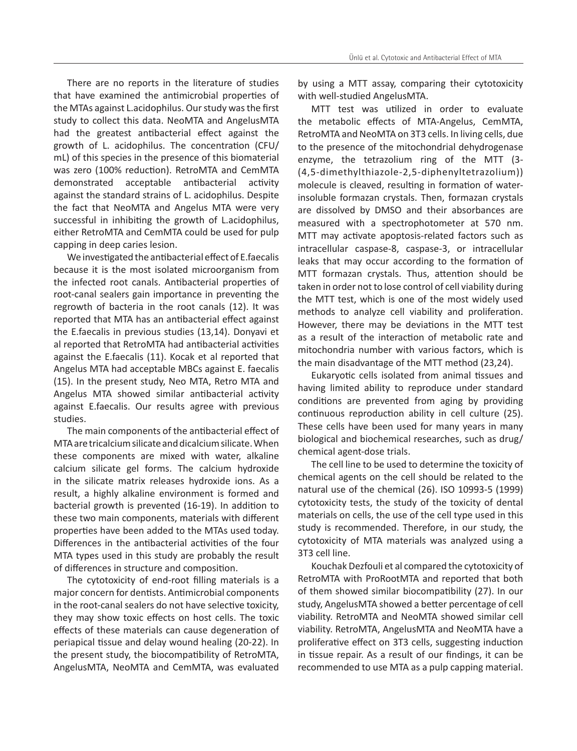There are no reports in the literature of studies that have examined the antimicrobial properties of the MTAs against L.acidophilus. Our study was the first study to collect this data. NeoMTA and AngelusMTA had the greatest antibacterial effect against the growth of L. acidophilus. The concentration (CFU/ mL) of this species in the presence of this biomaterial was zero (100% reduction). RetroMTA and CemMTA demonstrated acceptable antibacterial activity against the standard strains of L. acidophilus. Despite the fact that NeoMTA and Angelus MTA were very successful in inhibiting the growth of L.acidophilus, either RetroMTA and CemMTA could be used for pulp capping in deep caries lesion.

We investigated the antibacterial effect of E.faecalis because it is the most isolated microorganism from the infected root canals. Antibacterial properties of root-canal sealers gain importance in preventing the regrowth of bacteria in the root canals (12). It was reported that MTA has an antibacterial effect against the E.faecalis in previous studies (13,14). Donyavi et al reported that RetroMTA had antibacterial activities against the E.faecalis (11). Kocak et al reported that Angelus MTA had acceptable MBCs against E. faecalis (15). In the present study, Neo MTA, Retro MTA and Angelus MTA showed similar antibacterial activity against E.faecalis. Our results agree with previous studies.

The main components of the antibacterial effect of MTA are tricalcium silicate and dicalcium silicate. When these components are mixed with water, alkaline calcium silicate gel forms. The calcium hydroxide in the silicate matrix releases hydroxide ions. As a result, a highly alkaline environment is formed and bacterial growth is prevented (16-19). In addition to these two main components, materials with different properties have been added to the MTAs used today. Differences in the antibacterial activities of the four MTA types used in this study are probably the result of differences in structure and composition.

The cytotoxicity of end-root filling materials is a major concern for dentists. Antimicrobial components in the root-canal sealers do not have selective toxicity, they may show toxic effects on host cells. The toxic effects of these materials can cause degeneration of periapical tissue and delay wound healing (20-22). In the present study, the biocompatibility of RetroMTA, AngelusMTA, NeoMTA and CemMTA, was evaluated

by using a MTT assay, comparing their cytotoxicity with well-studied AngelusMTA.

MTT test was utilized in order to evaluate the metabolic effects of MTA-Angelus, CemMTA, RetroMTA and NeoMTA on 3T3 cells. In living cells, due to the presence of the mitochondrial dehydrogenase enzyme, the tetrazolium ring of the MTT (3- (4,5-dimethylthiazole-2,5-diphenyltetrazolium)) molecule is cleaved, resulting in formation of waterinsoluble formazan crystals. Then, formazan crystals are dissolved by DMSO and their absorbances are measured with a spectrophotometer at 570 nm. MTT may activate apoptosis-related factors such as intracellular caspase-8, caspase-3, or intracellular leaks that may occur according to the formation of MTT formazan crystals. Thus, attention should be taken in order not to lose control of cell viability during the MTT test, which is one of the most widely used methods to analyze cell viability and proliferation. However, there may be deviations in the MTT test as a result of the interaction of metabolic rate and mitochondria number with various factors, which is the main disadvantage of the MTT method (23,24).

Eukaryotic cells isolated from animal tissues and having limited ability to reproduce under standard conditions are prevented from aging by providing continuous reproduction ability in cell culture (25). These cells have been used for many years in many biological and biochemical researches, such as drug/ chemical agent-dose trials.

The cell line to be used to determine the toxicity of chemical agents on the cell should be related to the natural use of the chemical (26). ISO 10993-5 (1999) cytotoxicity tests, the study of the toxicity of dental materials on cells, the use of the cell type used in this study is recommended. Therefore, in our study, the cytotoxicity of MTA materials was analyzed using a 3T3 cell line.

Kouchak Dezfouli et al compared the cytotoxicity of RetroMTA with ProRootMTA and reported that both of them showed similar biocompatibility (27). In our study, AngelusMTA showed a better percentage of cell viability. RetroMTA and NeoMTA showed similar cell viability. RetroMTA, AngelusMTA and NeoMTA have a proliferative effect on 3T3 cells, suggesting induction in tissue repair. As a result of our findings, it can be recommended to use MTA as a pulp capping material.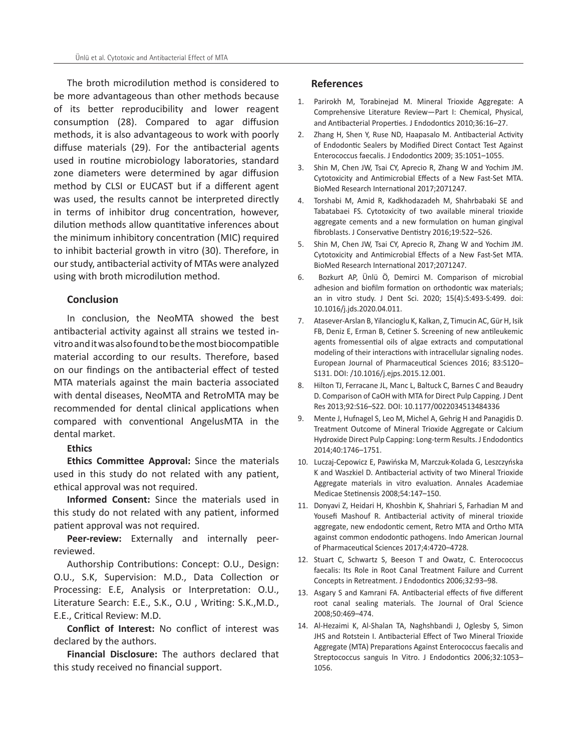The broth microdilution method is considered to be more advantageous than other methods because of its better reproducibility and lower reagent consumption (28). Compared to agar diffusion methods, it is also advantageous to work with poorly diffuse materials (29). For the antibacterial agents used in routine microbiology laboratories, standard zone diameters were determined by agar diffusion method by CLSI or EUCAST but if a different agent was used, the results cannot be interpreted directly in terms of inhibitor drug concentration, however, dilution methods allow quantitative inferences about the minimum inhibitory concentration (MIC) required to inhibit bacterial growth in vitro (30). Therefore, in our study, antibacterial activity of MTAs were analyzed using with broth microdilution method.

# **Conclusion**

In conclusion, the NeoMTA showed the best antibacterial activity against all strains we tested invitro and it was also found to be the most biocompatible material according to our results. Therefore, based on our findings on the antibacterial effect of tested MTA materials against the main bacteria associated with dental diseases, NeoMTA and RetroMTA may be recommended for dental clinical applications when compared with conventional AngelusMTA in the dental market.

# **Ethics**

**Ethics Committee Approval:** Since the materials used in this study do not related with any patient, ethical approval was not required.

**Informed Consent:** Since the materials used in this study do not related with any patient, informed patient approval was not required.

**Peer-review:** Externally and internally peerreviewed.

Authorship Contributions: Concept: O.U., Design: O.U., S.K, Supervision: M.D., Data Collection or Processing: E.E, Analysis or Interpretation: O.U., Literature Search: E.E., S.K., O.U , Writing: S.K.,M.D., E.E., Critical Review: M.D.

**Conflict of Interest:** No conflict of interest was declared by the authors.

**Financial Disclosure:** The authors declared that this study received no financial support.

# **References**

- 1. Parirokh M, Torabinejad M. Mineral Trioxide Aggregate: A Comprehensive Literature Review—Part I: Chemical, Physical, and Antibacterial Properties. J Endodontics 2010;36:16–27.
- 2. Zhang H, Shen Y, Ruse ND, Haapasalo M. Antibacterial Activity of Endodontic Sealers by Modified Direct Contact Test Against Enterococcus faecalis. J Endodontics 2009; 35:1051–1055.
- 3. Shin M, Chen JW, Tsai CY, Aprecio R, Zhang W and Yochim JM. Cytotoxicity and Antimicrobial Effects of a New Fast-Set MTA. BioMed Research International 2017;2071247.
- 4. Torshabi M, Amid R, Kadkhodazadeh M, Shahrbabaki SE and Tabatabaei FS. Cytotoxicity of two available mineral trioxide aggregate cements and a new formulation on human gingival fibroblasts. J Conservative Dentistry 2016;19:522–526.
- 5. Shin M, Chen JW, Tsai CY, Aprecio R, Zhang W and Yochim JM. Cytotoxicity and Antimicrobial Effects of a New Fast-Set MTA. BioMed Research International 2017;2071247.
- 6. Bozkurt AP, Ünlü Ö, Demirci M. Comparison of microbial adhesion and biofilm formation on orthodontic wax materials; an in vitro study. J Dent Sci. 2020; 15(4):S:493-S:499. doi: 10.1016/j.jds.2020.04.011.
- 7. Atasever-Arslan B, Yilancioglu K, Kalkan, Z, Timucin AC, Gür H, Isik FB, Deniz E, Erman B, Cetiner S. Screening of new antileukemic agents fromessential oils of algae extracts and computational modeling of their interactions with intracellular signaling nodes. European Journal of Pharmaceutical Sciences 2016; 83:S120– S131. DOI: /10.1016/j.ejps.2015.12.001.
- 8. Hilton TJ, Ferracane JL, Manc L, Baltuck C, Barnes C and Beaudry D. Comparison of CaOH with MTA for Direct Pulp Capping. J Dent Res 2013;92:S16–S22. DOI: 10.1177/0022034513484336
- 9. Mente J, Hufnagel S, Leo M, Michel A, Gehrig H and Panagidis D. Treatment Outcome of Mineral Trioxide Aggregate or Calcium Hydroxide Direct Pulp Capping: Long-term Results. J Endodontics 2014;40:1746–1751.
- 10. Luczaj-Cepowicz E, Pawińska M, Marczuk-Kolada G, Leszczyńska K and Waszkiel D. Antibacterial activity of two Mineral Trioxide Aggregate materials in vitro evaluation. Annales Academiae Medicae Stetinensis 2008;54:147–150.
- 11. Donyavi Z, Heidari H, Khoshbin K, Shahriari S, Farhadian M and Yousefi Mashouf R. Antibacterial activity of mineral trioxide aggregate, new endodontic cement, Retro MTA and Ortho MTA against common endodontic pathogens. Indo American Journal of Pharmaceutical Sciences 2017;4:4720–4728.
- 12. Stuart C, Schwartz S, Beeson T and Owatz, C. Enterococcus faecalis: Its Role in Root Canal Treatment Failure and Current Concepts in Retreatment. J Endodontics 2006;32:93–98.
- 13. Asgary S and Kamrani FA. Antibacterial effects of five different root canal sealing materials. The Journal of Oral Science 2008;50:469–474.
- 14. Al-Hezaimi K, Al-Shalan TA, Naghshbandi J, Oglesby S, Simon JHS and Rotstein I. Antibacterial Effect of Two Mineral Trioxide Aggregate (MTA) Preparations Against Enterococcus faecalis and Streptococcus sanguis In Vitro. J Endodontics 2006;32:1053– 1056.